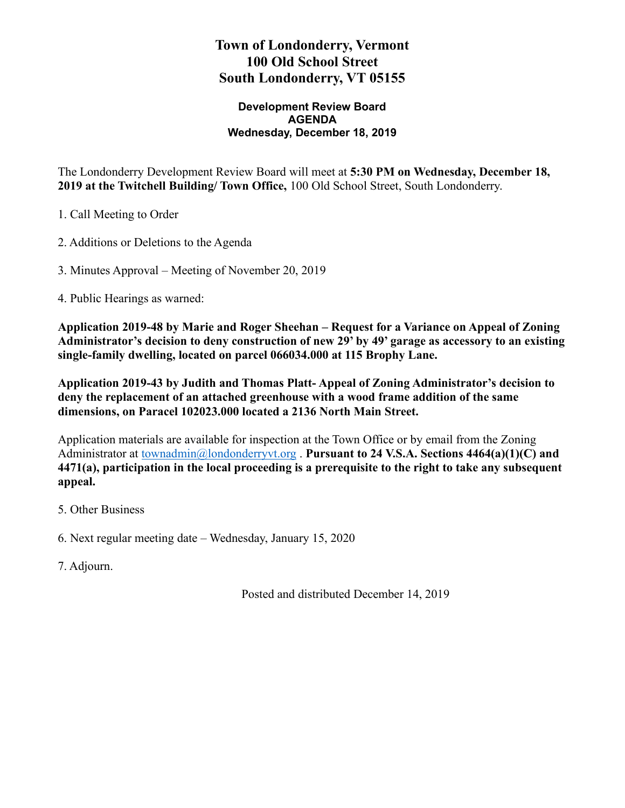# **Town of Londonderry, Vermont 100 Old School Street South Londonderry, VT 05155**

#### **Development Review Board AGENDA Wednesday, December 18, 2019**

The Londonderry Development Review Board will meet at **5:30 PM on Wednesday, December 18, 2019 at the Twitchell Building/ Town Office,** 100 Old School Street, South Londonderry.

1. Call Meeting to Order

2. Additions or Deletions to the Agenda

3. Minutes Approval – Meeting of November 20, 2019

4. Public Hearings as warned:

**Application 2019-48 by Marie and Roger Sheehan – Request for a Variance on Appeal of Zoning Administrator's decision to deny construction of new 29' by 49' garage as accessory to an existing single-family dwelling, located on parcel 066034.000 at 115 Brophy Lane.** 

**Application 2019-43 by Judith and Thomas Platt- Appeal of Zoning Administrator's decision to deny the replacement of an attached greenhouse with a wood frame addition of the same dimensions, on Paracel 102023.000 located a 2136 North Main Street.** 

Application materials are available for inspection at the Town Office or by email from the Zoning Administrator at [townadmin@londonderryvt.org](mailto:townadmin@londonderryvt.org) . **Pursuant to 24 V.S.A. Sections 4464(a)(1)(C) and 4471(a), participation in the local proceeding is a prerequisite to the right to take any subsequent appeal.** 

5. Other Business

6. Next regular meeting date – Wednesday, January 15, 2020

7. Adjourn.

Posted and distributed December 14, 2019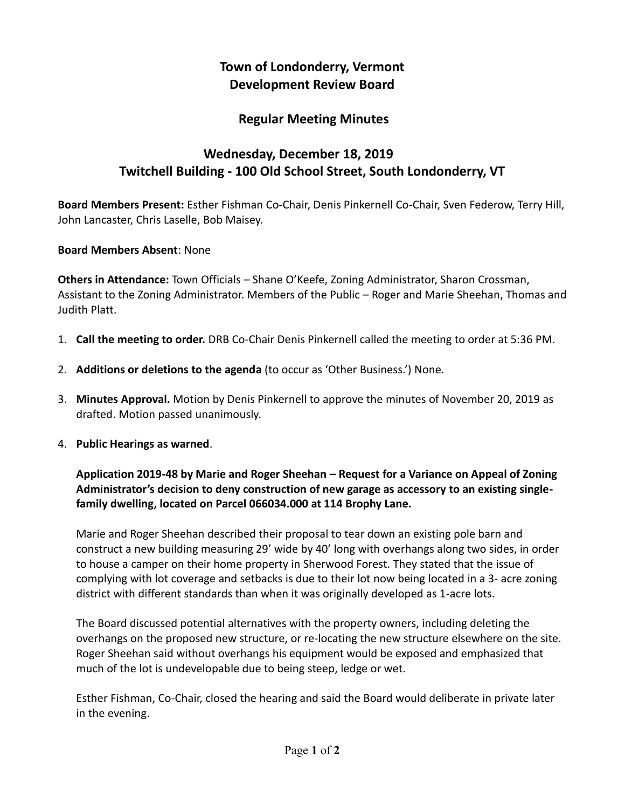# **Town of Londonderry, Vermont Development Review Board**

## **Regular Meeting Minutes**

# **Wednesday, December 18, 2019 Twitchell Building - 100 Old School Street, South Londonderry, VT**

**Board Members Present:** Esther Fishman Co-Chair, Denis Pinkernell Co-Chair, Sven Federow, Terry Hill, John Lancaster, Chris Laselle, Bob Maisey.

#### **Board Members Absent**: None

**Others in Attendance:** Town Officials – Shane O'Keefe, Zoning Administrator, Sharon Crossman, Assistant to the Zoning Administrator. Members of the Public – Roger and Marie Sheehan, Thomas and Judith Platt.

- 1. **Call the meeting to order.** DRB Co-Chair Denis Pinkernell called the meeting to order at 5:36 PM.
- 2. **Additions or deletions to the agenda** (to occur as 'Other Business.') None.
- 3. **Minutes Approval.** Motion by Denis Pinkernell to approve the minutes of November 20, 2019 as drafted. Motion passed unanimously.
- 4. **Public Hearings as warned**.

### **Application 2019-48 by Marie and Roger Sheehan – Request for a Variance on Appeal of Zoning Administrator's decision to deny construction of new garage as accessory to an existing singlefamily dwelling, located on Parcel 066034.000 at 114 Brophy Lane.**

Marie and Roger Sheehan described their proposal to tear down an existing pole barn and construct a new building measuring 29' wide by 40' long with overhangs along two sides, in order to house a camper on their home property in Sherwood Forest. They stated that the issue of complying with lot coverage and setbacks is due to their lot now being located in a 3- acre zoning district with different standards than when it was originally developed as 1-acre lots.

The Board discussed potential alternatives with the property owners, including deleting the overhangs on the proposed new structure, or re-locating the new structure elsewhere on the site. Roger Sheehan said without overhangs his equipment would be exposed and emphasized that much of the lot is undevelopable due to being steep, ledge or wet.

Esther Fishman, Co-Chair, closed the hearing and said the Board would deliberate in private later in the evening.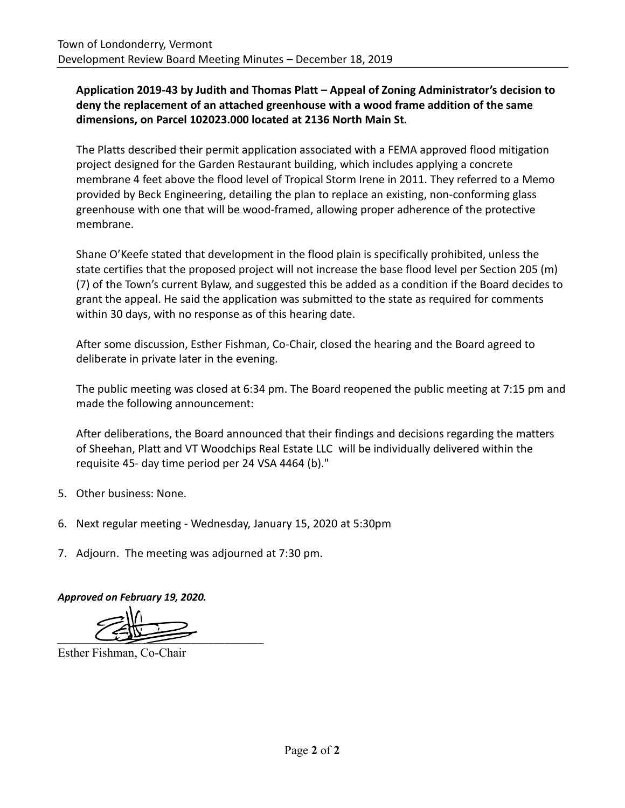### **Application 2019-43 by Judith and Thomas Platt – Appeal of Zoning Administrator's decision to deny the replacement of an attached greenhouse with a wood frame addition of the same dimensions, on Parcel 102023.000 located at 2136 North Main St.**

The Platts described their permit application associated with a FEMA approved flood mitigation project designed for the Garden Restaurant building, which includes applying a concrete membrane 4 feet above the flood level of Tropical Storm Irene in 2011. They referred to a Memo provided by Beck Engineering, detailing the plan to replace an existing, non-conforming glass greenhouse with one that will be wood-framed, allowing proper adherence of the protective membrane.

Shane O'Keefe stated that development in the flood plain is specifically prohibited, unless the state certifies that the proposed project will not increase the base flood level per Section 205 (m) (7) of the Town's current Bylaw, and suggested this be added as a condition if the Board decides to grant the appeal. He said the application was submitted to the state as required for comments within 30 days, with no response as of this hearing date.

After some discussion, Esther Fishman, Co-Chair, closed the hearing and the Board agreed to deliberate in private later in the evening.

The public meeting was closed at 6:34 pm. The Board reopened the public meeting at 7:15 pm and made the following announcement:

After deliberations, the Board announced that their findings and decisions regarding the matters of Sheehan, Platt and VT Woodchips Real Estate LLC will be individually delivered within the requisite 45- day time period per 24 VSA 4464 (b)."

- 5. Other business: None.
- 6. Next regular meeting Wednesday, January 15, 2020 at 5:30pm
- 7. Adjourn. The meeting was adjourned at 7:30 pm.

*Approved on February 19, 2020.* 

*\_\_\_\_\_\_\_\_\_\_\_\_\_\_\_\_\_\_\_\_\_\_\_\_\_\_\_\_\_\_\_\_\_\_\_\_\_* 

Esther Fishman, Co-Chair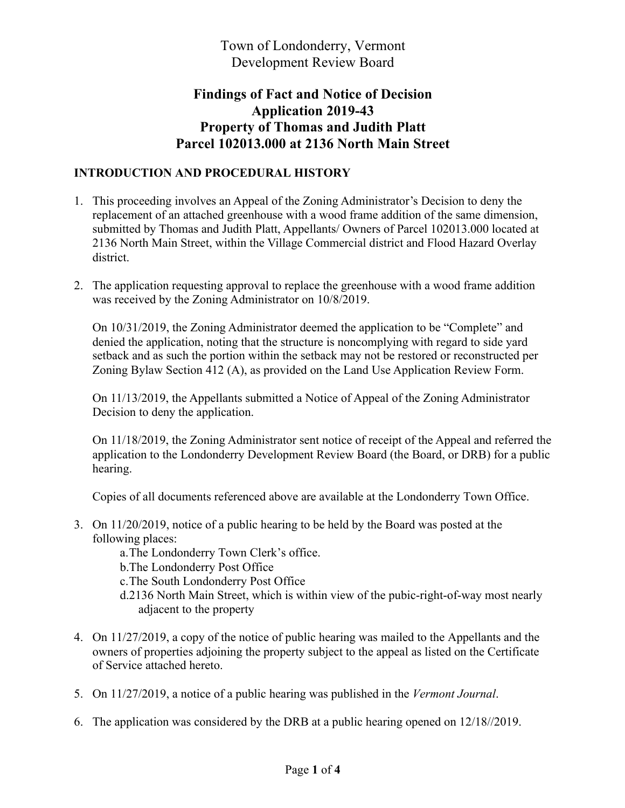Town of Londonderry, Vermont Development Review Board

# **Findings of Fact and Notice of Decision Application 2019-43 Property of Thomas and Judith Platt Parcel 102013.000 at 2136 North Main Street**

#### **INTRODUCTION AND PROCEDURAL HISTORY**

- 1. This proceeding involves an Appeal of the Zoning Administrator's Decision to deny the replacement of an attached greenhouse with a wood frame addition of the same dimension, submitted by Thomas and Judith Platt, Appellants/ Owners of Parcel 102013.000 located at 2136 North Main Street, within the Village Commercial district and Flood Hazard Overlay district.
- 2. The application requesting approval to replace the greenhouse with a wood frame addition was received by the Zoning Administrator on 10/8/2019.

On 10/31/2019, the Zoning Administrator deemed the application to be "Complete" and denied the application, noting that the structure is noncomplying with regard to side yard setback and as such the portion within the setback may not be restored or reconstructed per Zoning Bylaw Section 412 (A), as provided on the Land Use Application Review Form.

On 11/13/2019, the Appellants submitted a Notice of Appeal of the Zoning Administrator Decision to deny the application.

On 11/18/2019, the Zoning Administrator sent notice of receipt of the Appeal and referred the application to the Londonderry Development Review Board (the Board, or DRB) for a public hearing.

Copies of all documents referenced above are available at the Londonderry Town Office.

3. On 11/20/2019, notice of a public hearing to be held by the Board was posted at the following places:

a.The Londonderry Town Clerk's office.

- b.The Londonderry Post Office
- c.The South Londonderry Post Office
- d.2136 North Main Street, which is within view of the pubic-right-of-way most nearly adjacent to the property
- 4. On 11/27/2019, a copy of the notice of public hearing was mailed to the Appellants and the owners of properties adjoining the property subject to the appeal as listed on the Certificate of Service attached hereto.
- 5. On 11/27/2019, a notice of a public hearing was published in the *Vermont Journal*.
- 6. The application was considered by the DRB at a public hearing opened on 12/18//2019.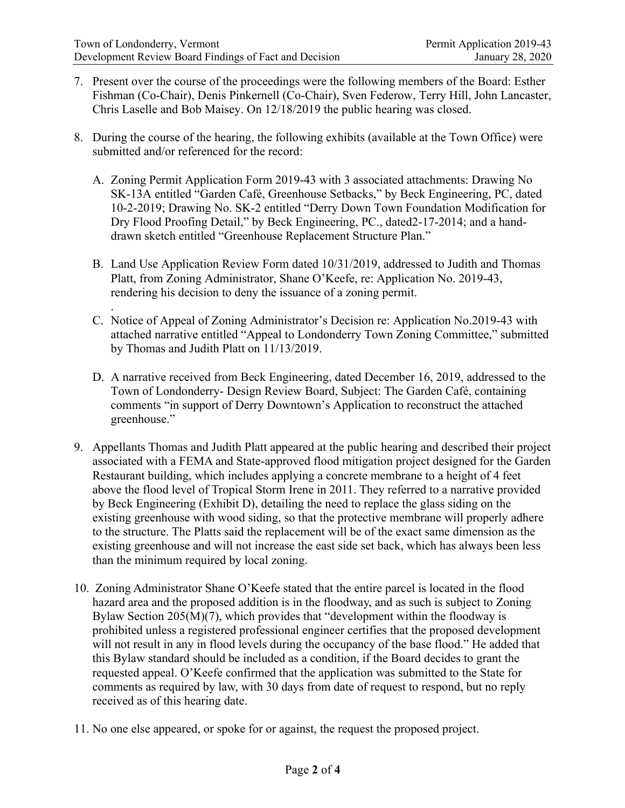- 7. Present over the course of the proceedings were the following members of the Board: Esther Fishman (Co-Chair), Denis Pinkernell (Co-Chair), Sven Federow, Terry Hill, John Lancaster, Chris Laselle and Bob Maisey. On 12/18/2019 the public hearing was closed.
- 8. During the course of the hearing, the following exhibits (available at the Town Office) were submitted and/or referenced for the record:
	- A. Zoning Permit Application Form 2019-43 with 3 associated attachments: Drawing No SK-13A entitled "Garden Café, Greenhouse Setbacks," by Beck Engineering, PC, dated 10-2-2019; Drawing No. SK-2 entitled "Derry Down Town Foundation Modification for Dry Flood Proofing Detail," by Beck Engineering, PC., dated2-17-2014; and a handdrawn sketch entitled "Greenhouse Replacement Structure Plan."
	- B. Land Use Application Review Form dated 10/31/2019, addressed to Judith and Thomas Platt, from Zoning Administrator, Shane O'Keefe, re: Application No. 2019-43, rendering his decision to deny the issuance of a zoning permit.
	- . C. Notice of Appeal of Zoning Administrator's Decision re: Application No.2019-43 with attached narrative entitled "Appeal to Londonderry Town Zoning Committee," submitted by Thomas and Judith Platt on 11/13/2019.
	- D. A narrative received from Beck Engineering, dated December 16, 2019, addressed to the Town of Londonderry- Design Review Board, Subject: The Garden Café, containing comments "in support of Derry Downtown's Application to reconstruct the attached greenhouse."
- 9. Appellants Thomas and Judith Platt appeared at the public hearing and described their project associated with a FEMA and State-approved flood mitigation project designed for the Garden Restaurant building, which includes applying a concrete membrane to a height of 4 feet above the flood level of Tropical Storm Irene in 2011. They referred to a narrative provided by Beck Engineering (Exhibit D), detailing the need to replace the glass siding on the existing greenhouse with wood siding, so that the protective membrane will properly adhere to the structure. The Platts said the replacement will be of the exact same dimension as the existing greenhouse and will not increase the east side set back, which has always been less than the minimum required by local zoning.
- 10. Zoning Administrator Shane O'Keefe stated that the entire parcel is located in the flood hazard area and the proposed addition is in the floodway, and as such is subject to Zoning Bylaw Section  $205(M)(7)$ , which provides that "development within the floodway is prohibited unless a registered professional engineer certifies that the proposed development will not result in any in flood levels during the occupancy of the base flood." He added that this Bylaw standard should be included as a condition, if the Board decides to grant the requested appeal. O'Keefe confirmed that the application was submitted to the State for comments as required by law, with 30 days from date of request to respond, but no reply received as of this hearing date.
- 11. No one else appeared, or spoke for or against, the request the proposed project.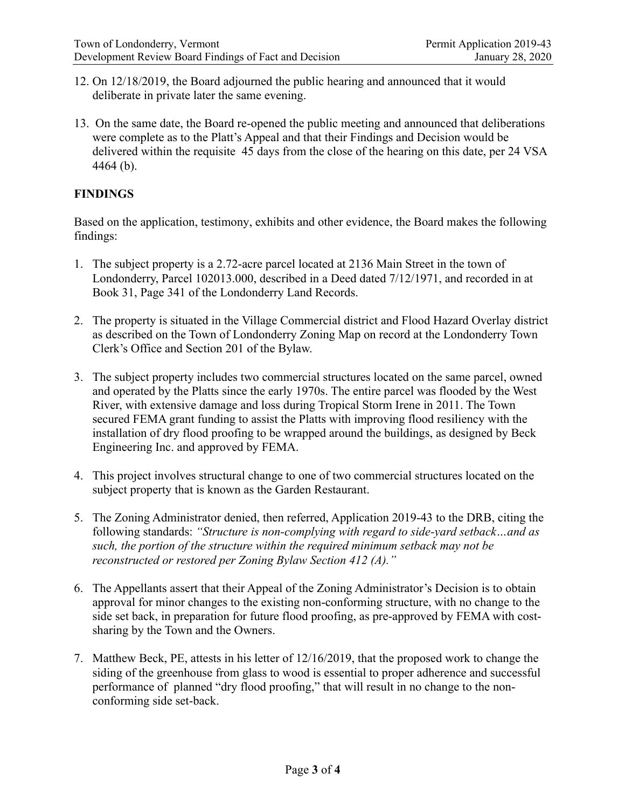- 12. On 12/18/2019, the Board adjourned the public hearing and announced that it would deliberate in private later the same evening.
- 13. On the same date, the Board re-opened the public meeting and announced that deliberations were complete as to the Platt's Appeal and that their Findings and Decision would be delivered within the requisite 45 days from the close of the hearing on this date, per 24 VSA 4464 (b).

#### **FINDINGS**

Based on the application, testimony, exhibits and other evidence, the Board makes the following findings:

- 1. The subject property is a 2.72-acre parcel located at 2136 Main Street in the town of Londonderry, Parcel 102013.000, described in a Deed dated 7/12/1971, and recorded in at Book 31, Page 341 of the Londonderry Land Records.
- 2. The property is situated in the Village Commercial district and Flood Hazard Overlay district as described on the Town of Londonderry Zoning Map on record at the Londonderry Town Clerk's Office and Section 201 of the Bylaw.
- 3. The subject property includes two commercial structures located on the same parcel, owned and operated by the Platts since the early 1970s. The entire parcel was flooded by the West River, with extensive damage and loss during Tropical Storm Irene in 2011. The Town secured FEMA grant funding to assist the Platts with improving flood resiliency with the installation of dry flood proofing to be wrapped around the buildings, as designed by Beck Engineering Inc. and approved by FEMA.
- 4. This project involves structural change to one of two commercial structures located on the subject property that is known as the Garden Restaurant.
- 5. The Zoning Administrator denied, then referred, Application 2019-43 to the DRB, citing the following standards: *"Structure is non-complying with regard to side-yard setback…and as such, the portion of the structure within the required minimum setback may not be reconstructed or restored per Zoning Bylaw Section 412 (A)."*
- 6. The Appellants assert that their Appeal of the Zoning Administrator's Decision is to obtain approval for minor changes to the existing non-conforming structure, with no change to the side set back, in preparation for future flood proofing, as pre-approved by FEMA with costsharing by the Town and the Owners.
- 7. Matthew Beck, PE, attests in his letter of 12/16/2019, that the proposed work to change the siding of the greenhouse from glass to wood is essential to proper adherence and successful performance of planned "dry flood proofing," that will result in no change to the nonconforming side set-back.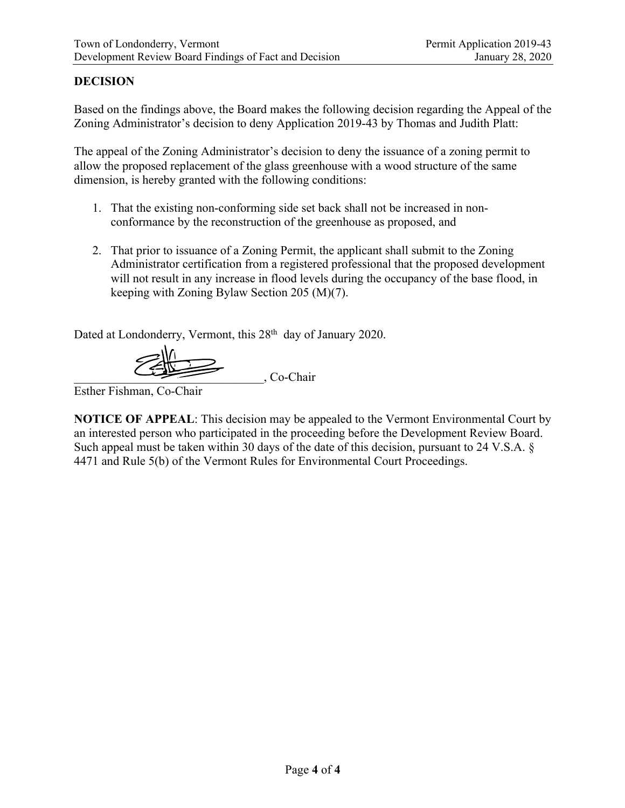#### **DECISION**

Based on the findings above, the Board makes the following decision regarding the Appeal of the Zoning Administrator's decision to deny Application 2019-43 by Thomas and Judith Platt:

The appeal of the Zoning Administrator's decision to deny the issuance of a zoning permit to allow the proposed replacement of the glass greenhouse with a wood structure of the same dimension, is hereby granted with the following conditions:

- 1. That the existing non-conforming side set back shall not be increased in nonconformance by the reconstruction of the greenhouse as proposed, and
- 2. That prior to issuance of a Zoning Permit, the applicant shall submit to the Zoning Administrator certification from a registered professional that the proposed development will not result in any increase in flood levels during the occupancy of the base flood, in keeping with Zoning Bylaw Section 205 (M)(7).

Dated at Londonderry, Vermont, this 28<sup>th</sup> day of January 2020.

\_\_\_\_\_\_\_\_\_\_\_\_\_\_\_\_\_\_\_\_\_\_\_\_\_\_\_\_\_\_\_, Co-Chair

Esther Fishman, Co-Chair

**NOTICE OF APPEAL**: This decision may be appealed to the Vermont Environmental Court by an interested person who participated in the proceeding before the Development Review Board. Such appeal must be taken within 30 days of the date of this decision, pursuant to 24 V.S.A. § 4471 and Rule 5(b) of the Vermont Rules for Environmental Court Proceedings.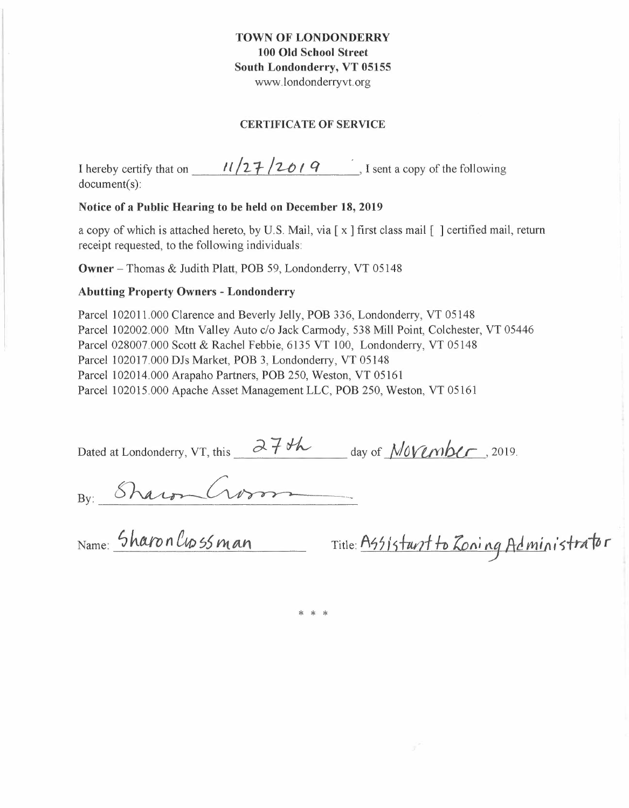#### **TOWN OF LONDONDERRY 100 Old School Street South Londonderry, VT 05155**  www.londonderryvt.org

#### **CERTIFICATE OF SERVICE**

| I hereby certify that on | 11/27/2019 | , I sent a copy of the following |
|--------------------------|------------|----------------------------------|
| $document(s)$ :          |            |                                  |

#### **Notice of a Public Hearing to be held on December 18, 2019**

a copy of which is attached hereto, by U.S. Mail, via [ x ] first class mail [ ] certified mail, return receipt requested, to the following individuals:

**Owner** -Thomas & Judith Platt, POB 59, Londonderry, VT 05148

#### **Abutting Property Owners - Londonderry**

Parcel 102011.000 Clarence and Beverly Jelly, POB 336, Londonderry, VT 05148 Parcel 102002.000 Mtn Valley Auto c/o Jack Carmody, 538 Mill Point, Colchester, VT 05446 Parcel 028007.000 Scott & Rachel Febbie, 6135 VT 100, Londonderry, VT 05148 Parcel 102017.000 DJs Market, POB 3, Londonderry, VT 05148 Parcel 102014.000 Arapaho Partners, POB 250, Weston, VT 05161 Parcel 102015. 000 Apache Asset Management LLC, POB 250, Weston, VT 05161

| Dated at Londonderry, VT, this | $a \neq b$ | $_{\rm day\ of}\ November$ , 2019. |
|--------------------------------|------------|------------------------------------|
|                                |            |                                    |

By: Sharon Crossman Title: Assistant to Loning Administrator

\* \* \*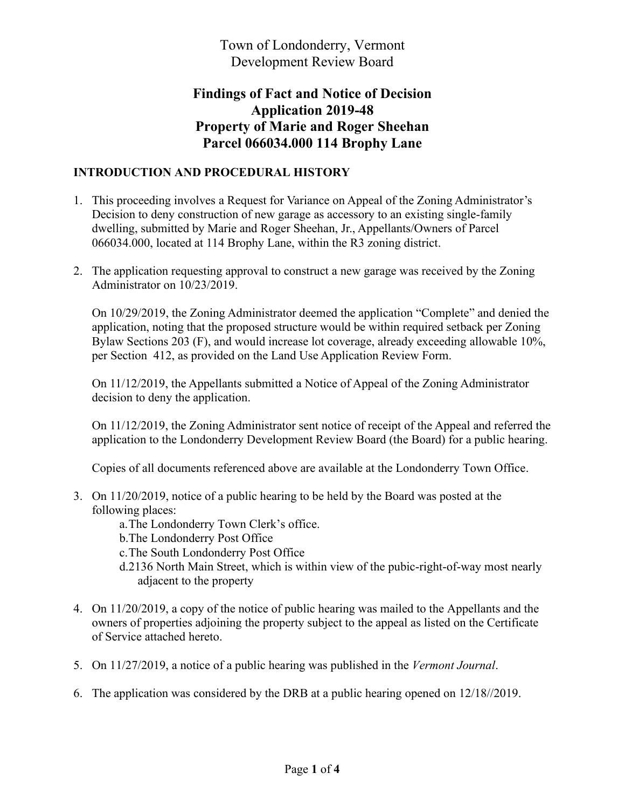Town of Londonderry, Vermont Development Review Board

# **Findings of Fact and Notice of Decision Application 2019-48 Property of Marie and Roger Sheehan Parcel 066034.000 114 Brophy Lane**

### **INTRODUCTION AND PROCEDURAL HISTORY**

- 1. This proceeding involves a Request for Variance on Appeal of the Zoning Administrator's Decision to deny construction of new garage as accessory to an existing single-family dwelling, submitted by Marie and Roger Sheehan, Jr., Appellants/Owners of Parcel 066034.000, located at 114 Brophy Lane, within the R3 zoning district.
- 2. The application requesting approval to construct a new garage was received by the Zoning Administrator on 10/23/2019.

On 10/29/2019, the Zoning Administrator deemed the application "Complete" and denied the application, noting that the proposed structure would be within required setback per Zoning Bylaw Sections 203 (F), and would increase lot coverage, already exceeding allowable 10%, per Section 412, as provided on the Land Use Application Review Form.

On 11/12/2019, the Appellants submitted a Notice of Appeal of the Zoning Administrator decision to deny the application.

On 11/12/2019, the Zoning Administrator sent notice of receipt of the Appeal and referred the application to the Londonderry Development Review Board (the Board) for a public hearing.

Copies of all documents referenced above are available at the Londonderry Town Office.

- 3. On 11/20/2019, notice of a public hearing to be held by the Board was posted at the following places:
	- a. The Londonderry Town Clerk's office.
	- b.The Londonderry Post Office
	- c.The South Londonderry Post Office
	- d.2136 North Main Street, which is within view of the pubic-right-of-way most nearly adjacent to the property
- 4. On 11/20/2019, a copy of the notice of public hearing was mailed to the Appellants and the owners of properties adjoining the property subject to the appeal as listed on the Certificate of Service attached hereto.
- 5. On 11/27/2019, a notice of a public hearing was published in the *Vermont Journal*.
- 6. The application was considered by the DRB at a public hearing opened on 12/18//2019.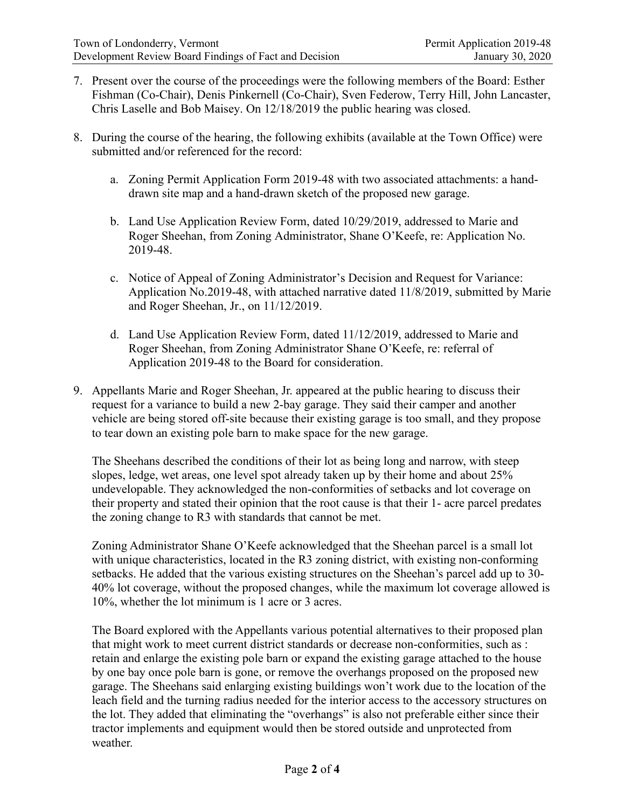- 7. Present over the course of the proceedings were the following members of the Board: Esther Fishman (Co-Chair), Denis Pinkernell (Co-Chair), Sven Federow, Terry Hill, John Lancaster, Chris Laselle and Bob Maisey. On 12/18/2019 the public hearing was closed.
- 8. During the course of the hearing, the following exhibits (available at the Town Office) were submitted and/or referenced for the record:
	- a. Zoning Permit Application Form 2019-48 with two associated attachments: a handdrawn site map and a hand-drawn sketch of the proposed new garage.
	- b. Land Use Application Review Form, dated 10/29/2019, addressed to Marie and Roger Sheehan, from Zoning Administrator, Shane O'Keefe, re: Application No. 2019-48.
	- c. Notice of Appeal of Zoning Administrator's Decision and Request for Variance: Application No.2019-48, with attached narrative dated 11/8/2019, submitted by Marie and Roger Sheehan, Jr., on 11/12/2019.
	- d. Land Use Application Review Form, dated 11/12/2019, addressed to Marie and Roger Sheehan, from Zoning Administrator Shane O'Keefe, re: referral of Application 2019-48 to the Board for consideration.
- 9. Appellants Marie and Roger Sheehan, Jr. appeared at the public hearing to discuss their request for a variance to build a new 2-bay garage. They said their camper and another vehicle are being stored off-site because their existing garage is too small, and they propose to tear down an existing pole barn to make space for the new garage.

The Sheehans described the conditions of their lot as being long and narrow, with steep slopes, ledge, wet areas, one level spot already taken up by their home and about 25% undevelopable. They acknowledged the non-conformities of setbacks and lot coverage on their property and stated their opinion that the root cause is that their 1- acre parcel predates the zoning change to R3 with standards that cannot be met.

Zoning Administrator Shane O'Keefe acknowledged that the Sheehan parcel is a small lot with unique characteristics, located in the R3 zoning district, with existing non-conforming setbacks. He added that the various existing structures on the Sheehan's parcel add up to 30-40% lot coverage, without the proposed changes, while the maximum lot coverage allowed is 10%, whether the lot minimum is 1 acre or 3 acres.

The Board explored with the Appellants various potential alternatives to their proposed plan that might work to meet current district standards or decrease non-conformities, such as : retain and enlarge the existing pole barn or expand the existing garage attached to the house by one bay once pole barn is gone, or remove the overhangs proposed on the proposed new garage. The Sheehans said enlarging existing buildings won't work due to the location of the leach field and the turning radius needed for the interior access to the accessory structures on the lot. They added that eliminating the "overhangs" is also not preferable either since their tractor implements and equipment would then be stored outside and unprotected from weather.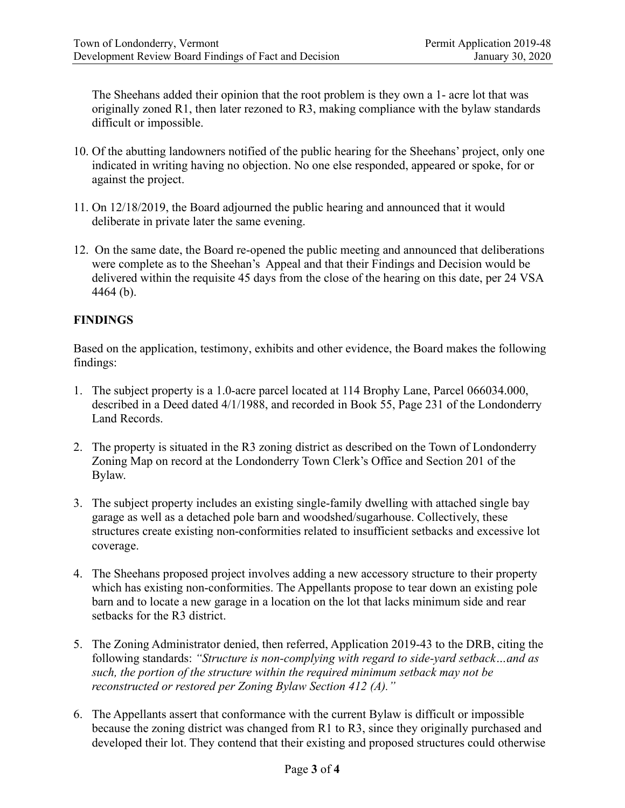The Sheehans added their opinion that the root problem is they own a 1- acre lot that was originally zoned R1, then later rezoned to R3, making compliance with the bylaw standards difficult or impossible.

- 10. Of the abutting landowners notified of the public hearing for the Sheehans' project, only one indicated in writing having no objection. No one else responded, appeared or spoke, for or against the project.
- 11. On 12/18/2019, the Board adjourned the public hearing and announced that it would deliberate in private later the same evening.
- 12. On the same date, the Board re-opened the public meeting and announced that deliberations were complete as to the Sheehan's Appeal and that their Findings and Decision would be delivered within the requisite 45 days from the close of the hearing on this date, per 24 VSA 4464 (b).

### **FINDINGS**

Based on the application, testimony, exhibits and other evidence, the Board makes the following findings:

- 1. The subject property is a 1.0-acre parcel located at 114 Brophy Lane, Parcel 066034.000, described in a Deed dated 4/1/1988, and recorded in Book 55, Page 231 of the Londonderry Land Records.
- 2. The property is situated in the R3 zoning district as described on the Town of Londonderry Zoning Map on record at the Londonderry Town Clerk's Office and Section 201 of the Bylaw.
- 3. The subject property includes an existing single-family dwelling with attached single bay garage as well as a detached pole barn and woodshed/sugarhouse. Collectively, these structures create existing non-conformities related to insufficient setbacks and excessive lot coverage.
- 4. The Sheehans proposed project involves adding a new accessory structure to their property which has existing non-conformities. The Appellants propose to tear down an existing pole barn and to locate a new garage in a location on the lot that lacks minimum side and rear setbacks for the R3 district.
- 5. The Zoning Administrator denied, then referred, Application 2019-43 to the DRB, citing the following standards: *"Structure is non-complying with regard to side-vard setback... and as* such, the portion of the structure within the required minimum setback may not be *reconstructed or restored per Zoning Bylaw Section 412 (A).*"
- 6. The Appellants assert that conformance with the current Bylaw is difficult or impossible because the zoning district was changed from R1 to R3, since they originally purchased and developed their lot. They contend that their existing and proposed structures could otherwise